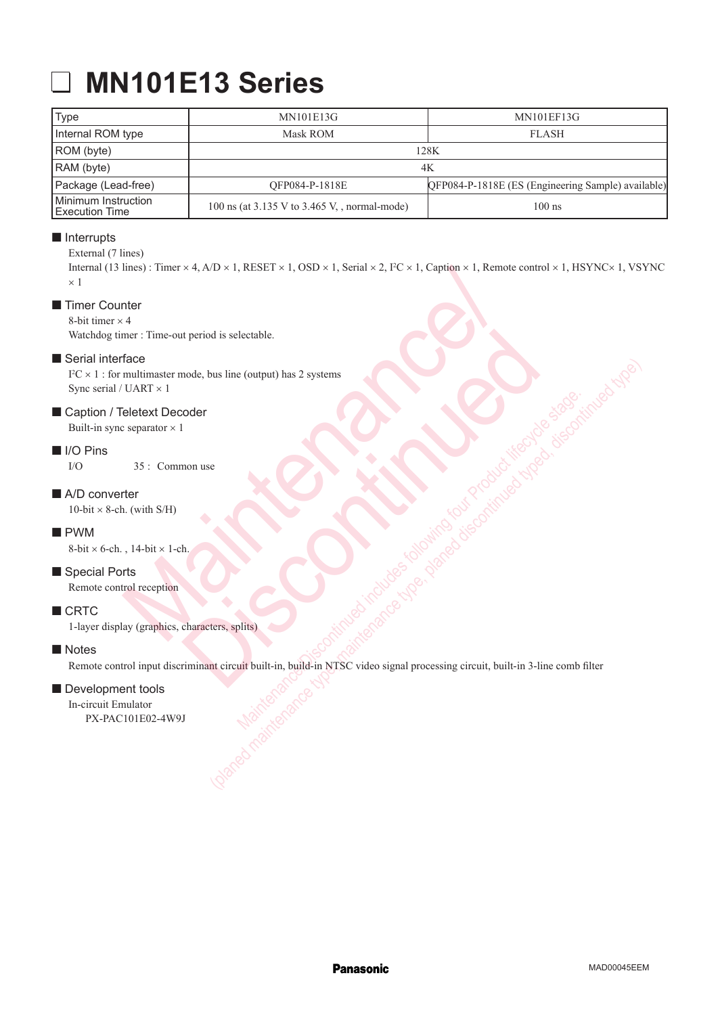# **MN101E13 Series**

| Type                                    | <b>MN101E13G</b>                                  | <b>MN101EF13G</b>                                  |
|-----------------------------------------|---------------------------------------------------|----------------------------------------------------|
| Internal ROM type                       | Mask ROM                                          | <b>FLASH</b>                                       |
| ROM (byte)                              | 128K                                              |                                                    |
| RAM (byte)                              | 4K                                                |                                                    |
| Package (Lead-free)                     | OFP084-P-1818E                                    | QFP084-P-1818E (ES (Engineering Sample) available) |
| Minimum Instruction<br>l Execution Time | 100 ns (at $3.135$ V to $3.465$ V, , normal-mode) | $100$ ns                                           |

# $\blacksquare$  Interrupts

#### External (7 lines)

Internal (13 lines) : Timer  $\times$  4, A/D  $\times$  1, RESET  $\times$  1, OSD  $\times$  1, Serial  $\times$  2, I<sup>2</sup>C  $\times$  1, Caption  $\times$  1, Remote control  $\times$  1, HSYNC $\times$  1, VSYNC  $\times$  1 Imes): Timer × 4, A/D × 1, RESET × 1, OSD × 1, Seral × 2, PC × 1, Caption × 1, Remote<br>
metric and period is selectable.<br>
The metric out period is selectable.<br>
Marries x 1<br>
Marries x 1<br>
September × 1<br>
35 : Common use<br>
ther<br>

# ■ Timer Counter

8-bit timer  $\times$  4

Watchdog timer : Time-out period is selectable.

### Serial interface

 $I^2C \times 1$ : for multimaster mode, bus line (output) has 2 systems Sync serial / UART × 1

### Caption / Teletext Decoder

Built-in sync separator  $\times$  1

#### II I/O Pins

I/O 35 : Common use

### A/D converter

 $10$ -bit  $\times$  8-ch. (with S/H)

### **PWM**

8-bit  $\times$  6-ch., 14-bit  $\times$  1-ch.

## Special Ports

Remote control reception

### CRTC

1-layer display (graphics, characters, splits)

#### **Notes**

Remote control input discriminant circuit built-in, build-in NTSC video signal processing circuit, built-in 3-line comb filter t period is selectable.<br>
node, bus line (output) has 2 systems<br>
coder<br>
Inon use<br>
of the characters, splits<br>
a characters, splits<br>
a characters, splits<br>
a characters, splits<br>
a characters, splits<br>
and the characters, splits Maintenance-Office Continued in NTSC video signal processing circuit, built-in 3-line combined and contract of the stage. bus line (output) has 2 systems<br>
account busile in NTSC video signal processing circuit, built-in 3-line comb filter<br>
account built-in, build-in NTSC video signal processing circuit, built-in 3-line comb filter<br>
globe of m

## Development tools

In-circuit Emulator PX-PAC101E02-4W9J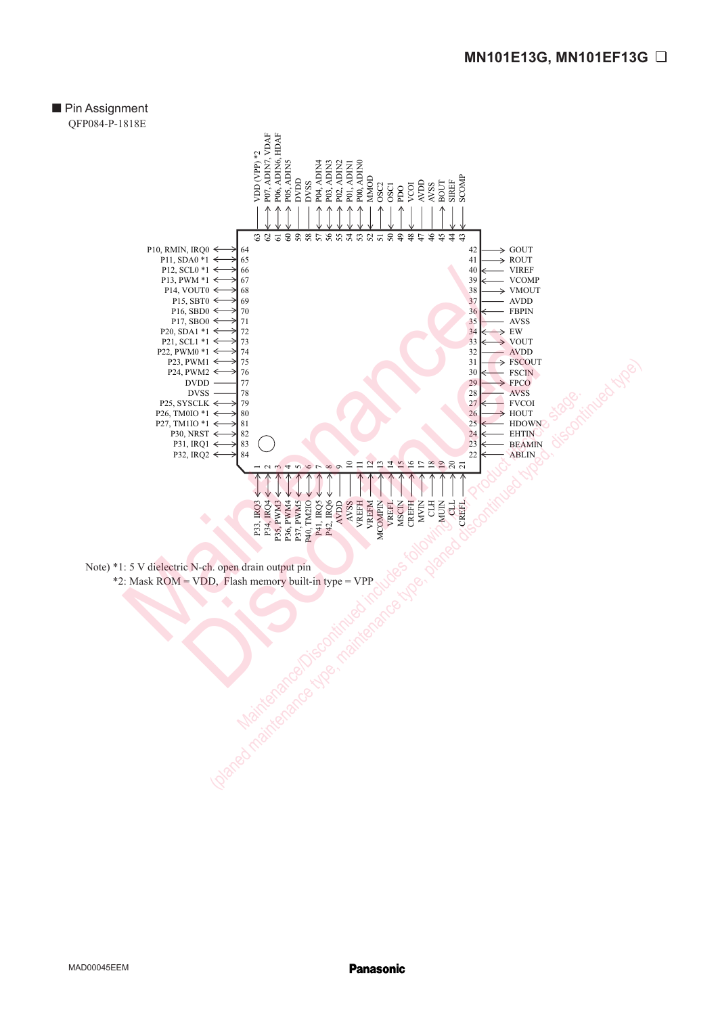# **Pin Assignment** QFP084-P-1818E



Note) \*1: 5 V dielectric N-ch. open drain output pin \*2: Mask ROM = VDD, Flash memory built-in type = VPP